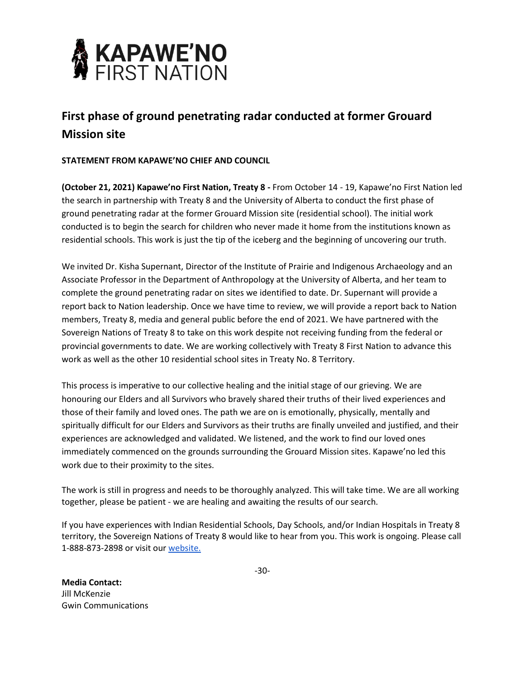

## **First phase of ground penetrating radar conducted at former Grouard Mission site**

## **STATEMENT FROM KAPAWE'NO CHIEF AND COUNCIL**

**(October 21, 2021) Kapawe'no First Nation, Treaty 8 -** From October 14 - 19, Kapawe'no First Nation led the search in partnership with Treaty 8 and the University of Alberta to conduct the first phase of ground penetrating radar at the former Grouard Mission site (residential school). The initial work conducted is to begin the search for children who never made it home from the institutions known as residential schools. This work is just the tip of the iceberg and the beginning of uncovering our truth.

We invited Dr. Kisha Supernant, Director of the Institute of Prairie and Indigenous Archaeology and an Associate Professor in the Department of Anthropology at the University of Alberta, and her team to complete the ground penetrating radar on sites we identified to date. Dr. Supernant will provide a report back to Nation leadership. Once we have time to review, we will provide a report back to Nation members, Treaty 8, media and general public before the end of 2021. We have partnered with the Sovereign Nations of Treaty 8 to take on this work despite not receiving funding from the federal or provincial governments to date. We are working collectively with Treaty 8 First Nation to advance this work as well as the other 10 residential school sites in Treaty No. 8 Territory.

This process is imperative to our collective healing and the initial stage of our grieving. We are honouring our Elders and all Survivors who bravely shared their truths of their lived experiences and those of their family and loved ones. The path we are on is emotionally, physically, mentally and spiritually difficult for our Elders and Survivors as their truths are finally unveiled and justified, and their experiences are acknowledged and validated. We listened, and the work to find our loved ones immediately commenced on the grounds surrounding the Grouard Mission sites. Kapawe'no led this work due to their proximity to the sites.

The work is still in progress and needs to be thoroughly analyzed. This will take time. We are all working together, please be patient - we are healing and awaiting the results of our search.

If you have experiences with Indian Residential Schools, Day Schools, and/or Indian Hospitals in Treaty 8 territory, the Sovereign Nations of Treaty 8 would like to hear from you. This work is ongoing. Please call 1-888-873-2898 or visit ou[r website.](http://www.treaty8.ca/Indian-Residential-School)

**Media Contact:** Jill McKenzie Gwin Communications